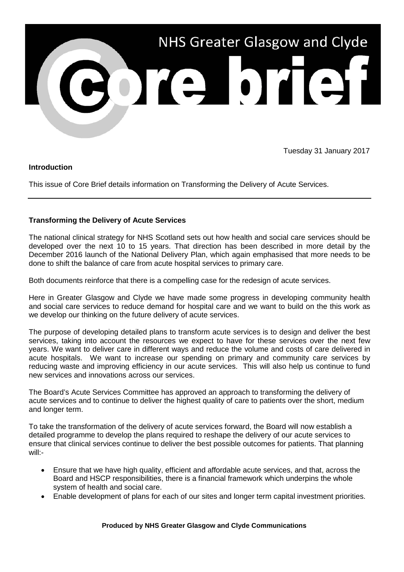

Tuesday 31 January 2017

## **Introduction**

This issue of Core Brief details information on Transforming the Delivery of Acute Services.

## **Transforming the Delivery of Acute Services**

The national clinical strategy for NHS Scotland sets out how health and social care services should be developed over the next 10 to 15 years. That direction has been described in more detail by the December 2016 launch of the National Delivery Plan, which again emphasised that more needs to be done to shift the balance of care from acute hospital services to primary care.

Both documents reinforce that there is a compelling case for the redesign of acute services.

Here in Greater Glasgow and Clyde we have made some progress in developing community health and social care services to reduce demand for hospital care and we want to build on the this work as we develop our thinking on the future delivery of acute services.

The purpose of developing detailed plans to transform acute services is to design and deliver the best services, taking into account the resources we expect to have for these services over the next few years. We want to deliver care in different ways and reduce the volume and costs of care delivered in acute hospitals. We want to increase our spending on primary and community care services by reducing waste and improving efficiency in our acute services. This will also help us continue to fund new services and innovations across our services.

The Board's Acute Services Committee has approved an approach to transforming the delivery of acute services and to continue to deliver the highest quality of care to patients over the short, medium and longer term.

To take the transformation of the delivery of acute services forward, the Board will now establish a detailed programme to develop the plans required to reshape the delivery of our acute services to ensure that clinical services continue to deliver the best possible outcomes for patients. That planning will:-

- Ensure that we have high quality, efficient and affordable acute services, and that, across the Board and HSCP responsibilities, there is a financial framework which underpins the whole system of health and social care.
- Enable development of plans for each of our sites and longer term capital investment priorities.

## **Produced by NHS Greater Glasgow and Clyde Communications**